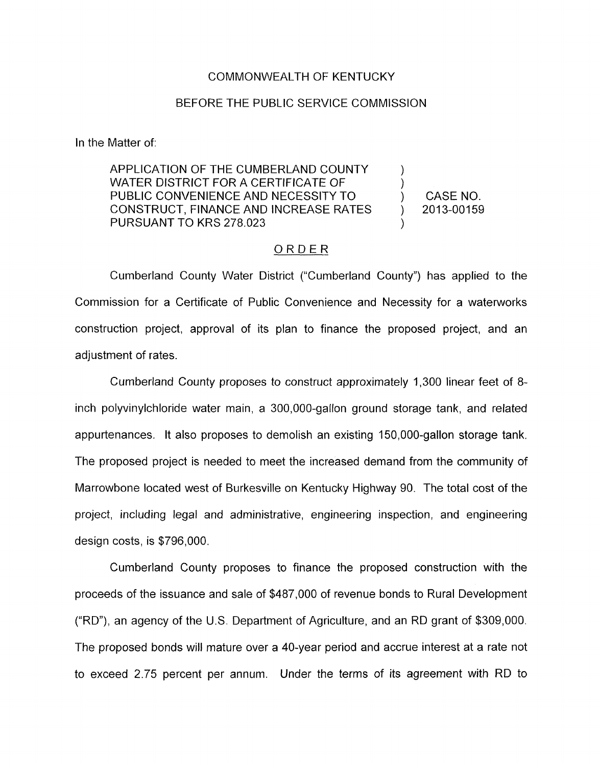#### COMMONWEALTH OF KENTUCKY

#### BEFORE THE PUBLIC SERVICE COMMISSION

In the Matter of:

APPLICATION OF THE CUMBERLAND COUNTY  $\qquad \qquad$  ) WATER DISTRICT FOR A CERTIFICATE OF PUBLIC CONVENIENCE AND NECESSITY TO  $\qquad \qquad$  CASE NO. CONSTRUCT, FINANCE AND INCREASE RATES ) 2013-00159 PURSUANT TO **KRS** 278.023 )

### ORDER

Cumberland County Water District ("Cumberland County") has applied to the Commission for a Certificate of Public Convenience and Necessity for a waterworks construction project, approval of its plan to finance the proposed project, and an adjustment of rates.

Cumberland County proposes to construct approximately 1,300 linear feet of 8 inch polyvinylchloride water main, a 300,000-gallon ground storage tank, and related appurtenances. It also proposes to demolish an existing 150,000-gallon storage tank. The proposed project is needed to meet the increased demand from the community of Marrowhane located west of Burkesville on Kentucky Highway 90. The total cost of the project, including legal and administrative, engineering inspection, and engineering design costs, is \$796,000.

Cumberland County proposes to finance the proposed construction with the proceeds of the issuance and sale of \$487,000 of revenue bonds to Rural Development ("RD"), an agency of the U.S. Department of Agriculture, and an RD grant of \$309,000. The proposed bonds will mature over a 40-year period and accrue interest at a rate not to exceed 2.75 percent per annum. Under the terms of its agreement with RD to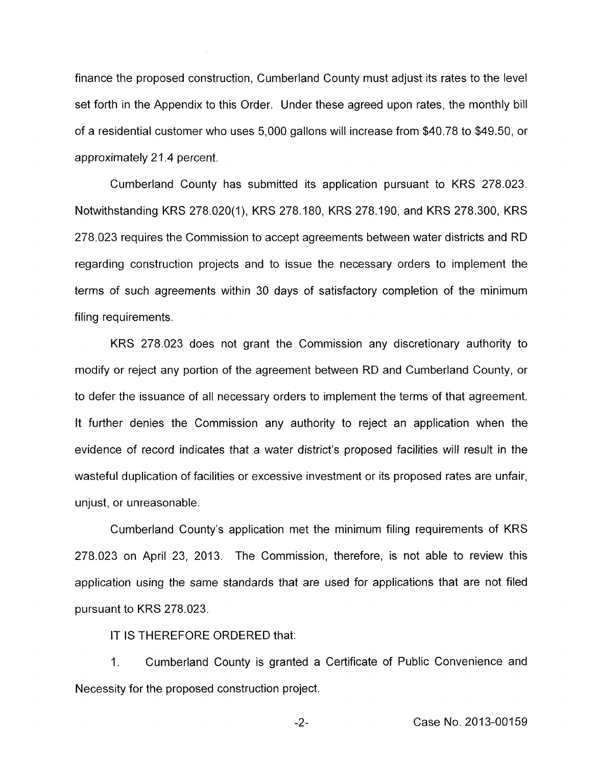finance the proposed construction, Cumberland County must adjust its rates to the level set forth in the Appendix to this Order. Under these agreed upon rates, the monthly bill of a residential customer who uses 5,000 gallons will increase from \$40.78 to \$49.50, or approximately 21.4 percent.

Cumberland County has submitted its application pursuant to KRS 278.023. Notwithstanding KRS 278.020(1), KRS 278.180, KRS 278.190, and KRS 278.300, KRS 278.023 requires the Commission to accept agreements between water districts and RD regarding construction projects and to issue the necessary orders to implement the terms of such agreements within 30 days of satisfactory completion of the minimum filing requirements.

KRS 278.023 does not grant the Commission any discretionary authority to modify or reject any portion of the agreement between RD and Cumberland County, or to defer the issuance of all necessary orders to implement the terms of that agreement. It further denies the Commission any authority to reject an application when the evidence of record indicates that a water district's proposed facilities will result in the wasteful duplication of facilities or excessive investment or its proposed rates are unfair, unjust, or unreasonable.

Cumberland County's application met the minimum filing requirements of KRS 278.023 on April 23, 2013. The Commission, therefore, is not able to review this application using the same standards that are used for applications that are not filed pursuant to KRS 278.023.

IT IS THEREFORE ORDERED that:

1. Cumberland County is granted a Certificate of Public Convenience and Necessity for the proposed construction project.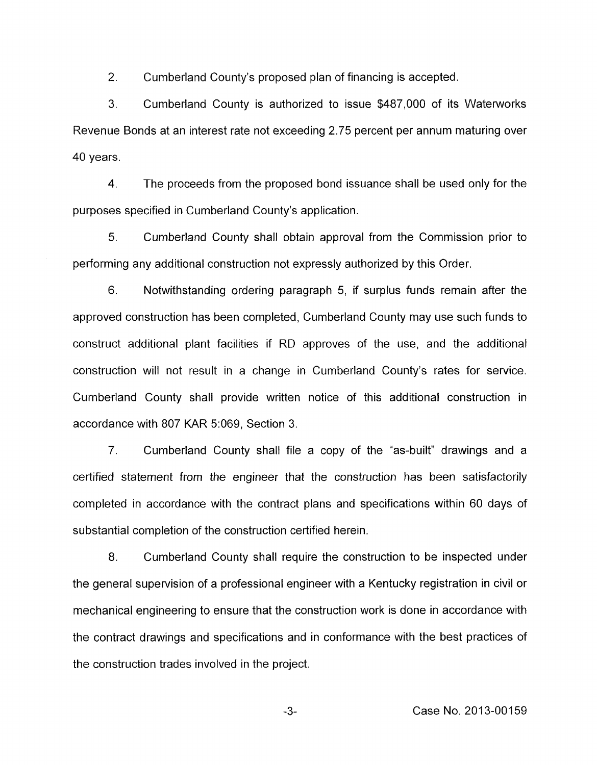2. Cumberland County's proposed plan of financing is accepted.

3. Cumberland County is authorized to issue \$487,000 of its Waterworks Revenue Bonds at an interest rate not exceeding 2.75 percent per annum maturing over 40 years.

4. The proceeds from the proposed bond issuance shall be used only for the purposes specified in Cumberland County's application.

5. Cumberland County shall obtain approval from the Commission prior to performing any additional construction not expressly authorized by this Order.

6. Notwithstanding ordering paragraph 5, if surplus funds remain after the approved construction has been completed, Cumberland County may use such funds to construct additional plant facilities if RD approves of the use, and the additional construction will not result in a change in Cumberland County's rates for service. Cumberland County shall provide written notice of this additional construction in accordance with 807 KAR 5:069, Section 3.

7. Cumberland County shall file a copy of the "as-built" drawings and a certified statement from the engineer that the construction has been satisfactorily completed in accordance with the contract plans and specifications within 60 days of substantial completion of the construction certified herein.

8. Cumberland County shall require the construction to be inspected under the general supervision of a professional engineer with a Kentucky registration in civil or mechanical engineering to ensure that the construction work is done in accordance with the contract drawings and specifications and in conformance with the best practices of the construction trades involved in the project.

-3- Case No. 2013-00159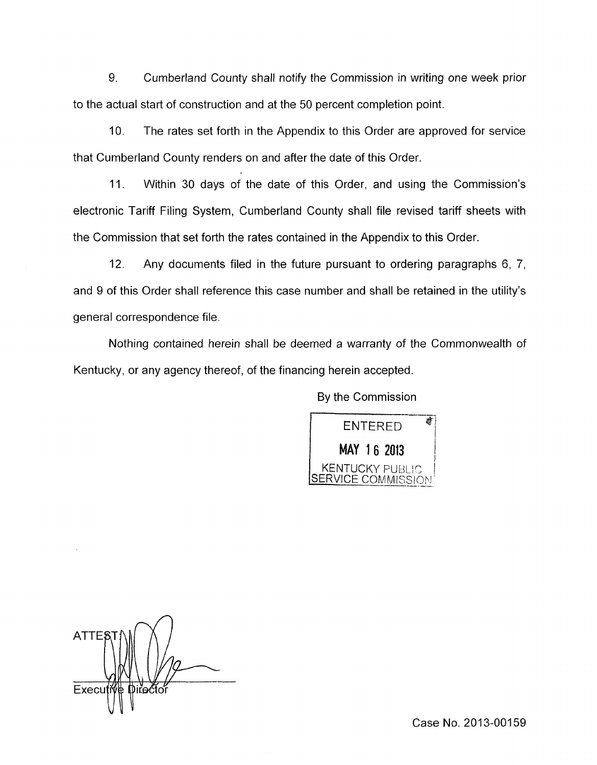9. Cumberland County shall notify the Commission in writing one week prior to the actual start of construction and at the 50 percent completion point.

10. The rates set forth in the Appendix to this Order are approved for service that Cumberland County renders on and after the date of this Order.

11. Within 30 days of the date of this Order, and using the Commission's electronic Tariff Filing System, Cumberland County shall file revised tariff sheets with the Commission that set forth the rates contained in the Appendix to this Order.

12. Any documents filed in the future pursuant to ordering paragraphs 6, 7, and 9 of this Order shall reference this case number and shall be retained in the utility's general correspondence file.

Nothing contained herein shall be deemed a warranty of the Commonwealth of Kentucky, or any agency thereof, of the financing herein accepted.

By the Commission



**ATTE&** Execu ťećtor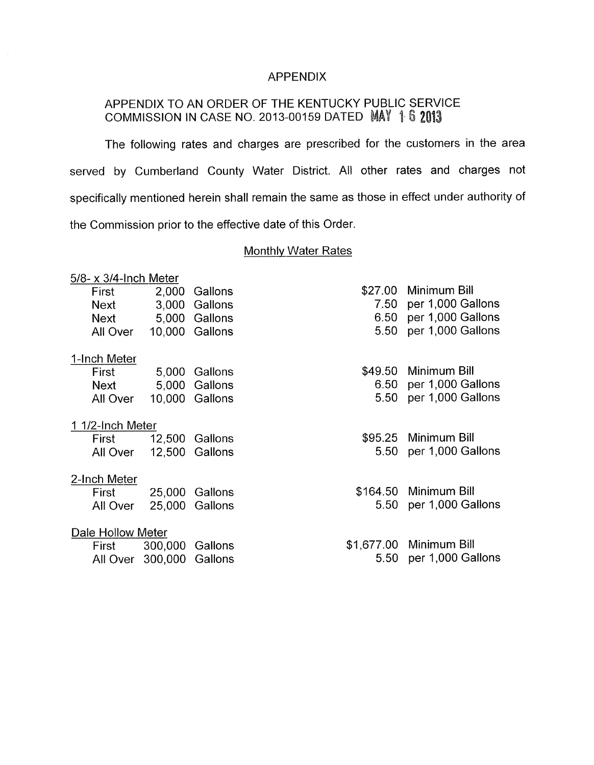## APPENDIX

# APPENDIX TO AN ORDER OF THE KENTUCKY PUBLIC SERVICE COMMISSION IN CASE NO. 2013-00159 DATED MAY 1 6 2013

The following rates and charges are prescribed for the customers in the area served by Cumberland County Water District. All other rates and charges not specifically mentioned herein shall remain the same as those in effect under authority of the Commission prior to the effective date of this Order.

## Monthly Water Rates

| $5/8$ - x $3/4$ -Inch Meter |                |         |                         |
|-----------------------------|----------------|---------|-------------------------|
| 2,000 Gallons<br>First      |                | \$27.00 | Minimum Bill            |
| Next 3,000 Gallons          |                | 7.50    | per 1,000 Gallons       |
| 5,000 Gallons<br>Next       |                | 6.50    | per 1,000 Gallons       |
| All Over 10,000 Gallons     |                | 5.50    | per 1,000 Gallons       |
| 1-Inch Meter                |                |         |                         |
| <b>First</b> 5,000          | Gallons        | \$49.50 | Minimum Bill            |
| Next                        | 5,000 Gallons  | 6.50    | per 1,000 Gallons       |
| All Over                    | 10,000 Gallons | 5.50    | per 1,000 Gallons       |
| 1 1/2-Inch Meter            |                |         |                         |
| <b>First</b>                | 12,500 Gallons |         | \$95.25 Minimum Bill    |
| All Over                    | 12,500 Gallons | 5.50    | per 1,000 Gallons       |
| 2-Inch Meter                |                |         |                         |
| First                       | 25,000 Gallons |         | \$164.50 Minimum Bill   |
| 25,000<br>All Over          | Gallons        | 5.50    | per 1,000 Gallons       |
| Dale Hollow Meter           |                |         |                         |
| 300,000<br>First            | Gallons        |         | \$1,677.00 Minimum Bill |
| All Over 300,000 Gallons    |                | 5.50    | per 1,000 Gallons       |